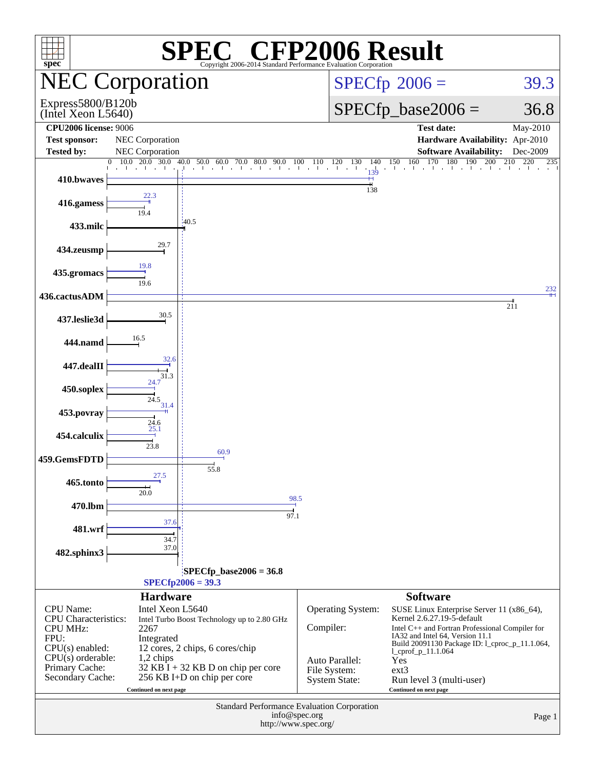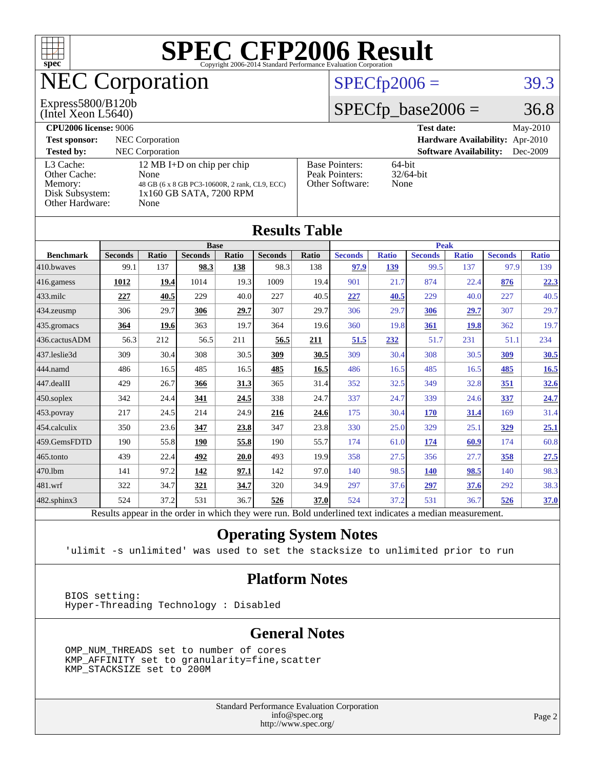

## NEC Corporation

#### (Intel Xeon L5640) Express5800/B120b

### $SPECfp2006 = 39.3$  $SPECfp2006 = 39.3$

#### $SPECfp\_base2006 = 36.8$

| <b>CPU2006 license: 9006</b>                                               |                                                                                                                        |                                                            | <b>Test date:</b><br>May-2010             |  |
|----------------------------------------------------------------------------|------------------------------------------------------------------------------------------------------------------------|------------------------------------------------------------|-------------------------------------------|--|
| <b>Test sponsor:</b>                                                       | NEC Corporation                                                                                                        | <b>Hardware Availability:</b> Apr-2010                     |                                           |  |
| <b>Tested by:</b>                                                          | NEC Corporation                                                                                                        |                                                            | <b>Software Availability:</b><br>Dec-2009 |  |
| L3 Cache:<br>Other Cache:<br>Memory:<br>Disk Subsystem:<br>Other Hardware: | 12 MB I+D on chip per chip<br>None<br>48 GB (6 x 8 GB PC3-10600R, 2 rank, CL9, ECC)<br>1x160 GB SATA, 7200 RPM<br>None | <b>Base Pointers:</b><br>Peak Pointers:<br>Other Software: | $64$ -bit<br>$32/64$ -bit<br>None         |  |

**[Results Table](http://www.spec.org/auto/cpu2006/Docs/result-fields.html#ResultsTable)**

| Results Table    |                                                                                                          |       |                |       |                |       |                |              |                |              |                |              |
|------------------|----------------------------------------------------------------------------------------------------------|-------|----------------|-------|----------------|-------|----------------|--------------|----------------|--------------|----------------|--------------|
|                  | <b>Base</b>                                                                                              |       |                |       | <b>Peak</b>    |       |                |              |                |              |                |              |
| <b>Benchmark</b> | <b>Seconds</b>                                                                                           | Ratio | <b>Seconds</b> | Ratio | <b>Seconds</b> | Ratio | <b>Seconds</b> | <b>Ratio</b> | <b>Seconds</b> | <b>Ratio</b> | <b>Seconds</b> | <b>Ratio</b> |
| 410.bwaves       | 99.1                                                                                                     | 137   | 98.3           | 138   | 98.3           | 138   | 97.9           | 139          | 99.5           | 137          | 97.9           | 139          |
| 416.gamess       | 1012                                                                                                     | 19.4  | 1014           | 19.3  | 1009           | 19.4  | 901            | 21.7         | 874            | 22.4         | 876            | 22.3         |
| $433$ .milc      | 227                                                                                                      | 40.5  | 229            | 40.0  | 227            | 40.5  | 227            | 40.5         | 229            | 40.0         | 227            | 40.5         |
| 434.zeusmp       | 306                                                                                                      | 29.7  | 306            | 29.7  | 307            | 29.7  | 306            | 29.7         | 306            | 29.7         | 307            | 29.7         |
| 435.gromacs      | 364                                                                                                      | 19.6  | 363            | 19.7  | 364            | 19.6  | 360            | 19.8         | 361            | <b>19.8</b>  | 362            | 19.7         |
| 436.cactusADM    | 56.3                                                                                                     | 212   | 56.5           | 211   | 56.5           | 211   | 51.5           | 232          | 51.7           | 231          | 51.1           | 234          |
| 437.leslie3d     | 309                                                                                                      | 30.4  | 308            | 30.5  | 309            | 30.5  | 309            | 30.4         | 308            | 30.5         | 309            | <b>30.5</b>  |
| 444.namd         | 486                                                                                                      | 16.5  | 485            | 16.5  | 485            | 16.5  | 486            | 16.5         | 485            | 16.5         | 485            | 16.5         |
| 447.dealII       | 429                                                                                                      | 26.7  | 366            | 31.3  | 365            | 31.4  | 352            | 32.5         | 349            | 32.8         | 351            | 32.6         |
| $450$ .soplex    | 342                                                                                                      | 24.4  | 341            | 24.5  | 338            | 24.7  | 337            | 24.7         | 339            | 24.6         | 337            | 24.7         |
| 453.povray       | 217                                                                                                      | 24.5  | 214            | 24.9  | 216            | 24.6  | 175            | 30.4         | <b>170</b>     | 31.4         | 169            | 31.4         |
| 454.calculix     | 350                                                                                                      | 23.6  | 347            | 23.8  | 347            | 23.8  | 330            | 25.0         | 329            | 25.1         | <u>329</u>     | 25.1         |
| 459.GemsFDTD     | 190                                                                                                      | 55.8  | 190            | 55.8  | 190            | 55.7  | 174            | 61.0         | 174            | 60.9         | 174            | 60.8         |
| $465$ .tonto     | 439                                                                                                      | 22.4  | 492            | 20.0  | 493            | 19.9  | 358            | 27.5         | 356            | 27.7         | 358            | 27.5         |
| 470.1bm          | 141                                                                                                      | 97.2  | 142            | 97.1  | 142            | 97.0  | 140            | 98.5         | <b>140</b>     | 98.5         | 140            | 98.3         |
| 481.wrf          | 322                                                                                                      | 34.7  | 321            | 34.7  | 320            | 34.9  | 297            | 37.6         | 297            | 37.6         | 292            | 38.3         |
| 482.sphinx3      | 524                                                                                                      | 37.2  | 531            | 36.7  | 526            | 37.0  | 524            | 37.2         | 531            | 36.7         | 526            | 37.0         |
|                  | Results appear in the order in which they were run. Bold underlined text indicates a median measurement. |       |                |       |                |       |                |              |                |              |                |              |

#### **[Operating System Notes](http://www.spec.org/auto/cpu2006/Docs/result-fields.html#OperatingSystemNotes)**

'ulimit -s unlimited' was used to set the stacksize to unlimited prior to run

#### **[Platform Notes](http://www.spec.org/auto/cpu2006/Docs/result-fields.html#PlatformNotes)**

 BIOS setting: Hyper-Threading Technology : Disabled

#### **[General Notes](http://www.spec.org/auto/cpu2006/Docs/result-fields.html#GeneralNotes)**

 OMP\_NUM\_THREADS set to number of cores KMP\_AFFINITY set to granularity=fine,scatter KMP\_STACKSIZE set to 200M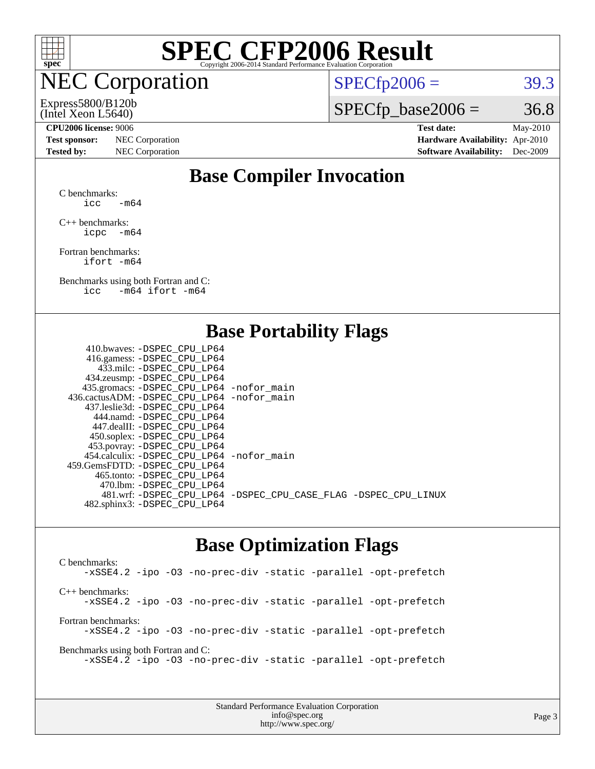

### NEC Corporation

 $SPECTp2006 = 39.3$ 

(Intel Xeon L5640) Express5800/B120b  $SPECTp\_base2006 = 36.8$ 

**[Test sponsor:](http://www.spec.org/auto/cpu2006/Docs/result-fields.html#Testsponsor)** NEC Corporation **[Hardware Availability:](http://www.spec.org/auto/cpu2006/Docs/result-fields.html#HardwareAvailability)** Apr-2010

**[CPU2006 license:](http://www.spec.org/auto/cpu2006/Docs/result-fields.html#CPU2006license)** 9006 **[Test date:](http://www.spec.org/auto/cpu2006/Docs/result-fields.html#Testdate)** May-2010 **[Tested by:](http://www.spec.org/auto/cpu2006/Docs/result-fields.html#Testedby)** NEC Corporation **[Software Availability:](http://www.spec.org/auto/cpu2006/Docs/result-fields.html#SoftwareAvailability)** Dec-2009

#### **[Base Compiler Invocation](http://www.spec.org/auto/cpu2006/Docs/result-fields.html#BaseCompilerInvocation)**

[C benchmarks](http://www.spec.org/auto/cpu2006/Docs/result-fields.html#Cbenchmarks): icc  $-m64$ 

[C++ benchmarks:](http://www.spec.org/auto/cpu2006/Docs/result-fields.html#CXXbenchmarks) [icpc -m64](http://www.spec.org/cpu2006/results/res2010q3/cpu2006-20100704-12166.flags.html#user_CXXbase_intel_icpc_64bit_bedb90c1146cab66620883ef4f41a67e)

[Fortran benchmarks](http://www.spec.org/auto/cpu2006/Docs/result-fields.html#Fortranbenchmarks): [ifort -m64](http://www.spec.org/cpu2006/results/res2010q3/cpu2006-20100704-12166.flags.html#user_FCbase_intel_ifort_64bit_ee9d0fb25645d0210d97eb0527dcc06e)

[Benchmarks using both Fortran and C](http://www.spec.org/auto/cpu2006/Docs/result-fields.html#BenchmarksusingbothFortranandC): [icc -m64](http://www.spec.org/cpu2006/results/res2010q3/cpu2006-20100704-12166.flags.html#user_CC_FCbase_intel_icc_64bit_0b7121f5ab7cfabee23d88897260401c) [ifort -m64](http://www.spec.org/cpu2006/results/res2010q3/cpu2006-20100704-12166.flags.html#user_CC_FCbase_intel_ifort_64bit_ee9d0fb25645d0210d97eb0527dcc06e)

#### **[Base Portability Flags](http://www.spec.org/auto/cpu2006/Docs/result-fields.html#BasePortabilityFlags)**

| 410.bwaves: -DSPEC CPU LP64                 |                                                                |
|---------------------------------------------|----------------------------------------------------------------|
| 416.gamess: - DSPEC_CPU_LP64                |                                                                |
| 433.milc: -DSPEC CPU LP64                   |                                                                |
| 434.zeusmp: -DSPEC_CPU_LP64                 |                                                                |
| 435.gromacs: -DSPEC_CPU_LP64 -nofor_main    |                                                                |
| 436.cactusADM: -DSPEC CPU LP64 -nofor main  |                                                                |
| 437.leslie3d: -DSPEC CPU LP64               |                                                                |
| 444.namd: - DSPEC_CPU_LP64                  |                                                                |
| 447.dealII: -DSPEC CPU LP64                 |                                                                |
| 450.soplex: -DSPEC_CPU_LP64                 |                                                                |
| 453.povray: -DSPEC_CPU_LP64                 |                                                                |
| 454.calculix: - DSPEC CPU LP64 - nofor main |                                                                |
| 459.GemsFDTD: -DSPEC_CPU LP64               |                                                                |
| 465.tonto: - DSPEC_CPU LP64                 |                                                                |
| 470.1bm: - DSPEC CPU LP64                   |                                                                |
|                                             | 481.wrf: -DSPEC_CPU_LP64 -DSPEC_CPU_CASE_FLAG -DSPEC_CPU_LINUX |
| 482.sphinx3: -DSPEC_CPU_LP64                |                                                                |
|                                             |                                                                |

#### **[Base Optimization Flags](http://www.spec.org/auto/cpu2006/Docs/result-fields.html#BaseOptimizationFlags)**

[C benchmarks](http://www.spec.org/auto/cpu2006/Docs/result-fields.html#Cbenchmarks): [-xSSE4.2](http://www.spec.org/cpu2006/results/res2010q3/cpu2006-20100704-12166.flags.html#user_CCbase_f-xSSE42_f91528193cf0b216347adb8b939d4107) [-ipo](http://www.spec.org/cpu2006/results/res2010q3/cpu2006-20100704-12166.flags.html#user_CCbase_f-ipo) [-O3](http://www.spec.org/cpu2006/results/res2010q3/cpu2006-20100704-12166.flags.html#user_CCbase_f-O3) [-no-prec-div](http://www.spec.org/cpu2006/results/res2010q3/cpu2006-20100704-12166.flags.html#user_CCbase_f-no-prec-div) [-static](http://www.spec.org/cpu2006/results/res2010q3/cpu2006-20100704-12166.flags.html#user_CCbase_f-static) [-parallel](http://www.spec.org/cpu2006/results/res2010q3/cpu2006-20100704-12166.flags.html#user_CCbase_f-parallel) [-opt-prefetch](http://www.spec.org/cpu2006/results/res2010q3/cpu2006-20100704-12166.flags.html#user_CCbase_f-opt-prefetch) [C++ benchmarks:](http://www.spec.org/auto/cpu2006/Docs/result-fields.html#CXXbenchmarks) [-xSSE4.2](http://www.spec.org/cpu2006/results/res2010q3/cpu2006-20100704-12166.flags.html#user_CXXbase_f-xSSE42_f91528193cf0b216347adb8b939d4107) [-ipo](http://www.spec.org/cpu2006/results/res2010q3/cpu2006-20100704-12166.flags.html#user_CXXbase_f-ipo) [-O3](http://www.spec.org/cpu2006/results/res2010q3/cpu2006-20100704-12166.flags.html#user_CXXbase_f-O3) [-no-prec-div](http://www.spec.org/cpu2006/results/res2010q3/cpu2006-20100704-12166.flags.html#user_CXXbase_f-no-prec-div) [-static](http://www.spec.org/cpu2006/results/res2010q3/cpu2006-20100704-12166.flags.html#user_CXXbase_f-static) [-parallel](http://www.spec.org/cpu2006/results/res2010q3/cpu2006-20100704-12166.flags.html#user_CXXbase_f-parallel) [-opt-prefetch](http://www.spec.org/cpu2006/results/res2010q3/cpu2006-20100704-12166.flags.html#user_CXXbase_f-opt-prefetch) [Fortran benchmarks](http://www.spec.org/auto/cpu2006/Docs/result-fields.html#Fortranbenchmarks): [-xSSE4.2](http://www.spec.org/cpu2006/results/res2010q3/cpu2006-20100704-12166.flags.html#user_FCbase_f-xSSE42_f91528193cf0b216347adb8b939d4107) [-ipo](http://www.spec.org/cpu2006/results/res2010q3/cpu2006-20100704-12166.flags.html#user_FCbase_f-ipo) [-O3](http://www.spec.org/cpu2006/results/res2010q3/cpu2006-20100704-12166.flags.html#user_FCbase_f-O3) [-no-prec-div](http://www.spec.org/cpu2006/results/res2010q3/cpu2006-20100704-12166.flags.html#user_FCbase_f-no-prec-div) [-static](http://www.spec.org/cpu2006/results/res2010q3/cpu2006-20100704-12166.flags.html#user_FCbase_f-static) [-parallel](http://www.spec.org/cpu2006/results/res2010q3/cpu2006-20100704-12166.flags.html#user_FCbase_f-parallel) [-opt-prefetch](http://www.spec.org/cpu2006/results/res2010q3/cpu2006-20100704-12166.flags.html#user_FCbase_f-opt-prefetch) [Benchmarks using both Fortran and C](http://www.spec.org/auto/cpu2006/Docs/result-fields.html#BenchmarksusingbothFortranandC): [-xSSE4.2](http://www.spec.org/cpu2006/results/res2010q3/cpu2006-20100704-12166.flags.html#user_CC_FCbase_f-xSSE42_f91528193cf0b216347adb8b939d4107) [-ipo](http://www.spec.org/cpu2006/results/res2010q3/cpu2006-20100704-12166.flags.html#user_CC_FCbase_f-ipo) [-O3](http://www.spec.org/cpu2006/results/res2010q3/cpu2006-20100704-12166.flags.html#user_CC_FCbase_f-O3) [-no-prec-div](http://www.spec.org/cpu2006/results/res2010q3/cpu2006-20100704-12166.flags.html#user_CC_FCbase_f-no-prec-div) [-static](http://www.spec.org/cpu2006/results/res2010q3/cpu2006-20100704-12166.flags.html#user_CC_FCbase_f-static) [-parallel](http://www.spec.org/cpu2006/results/res2010q3/cpu2006-20100704-12166.flags.html#user_CC_FCbase_f-parallel) [-opt-prefetch](http://www.spec.org/cpu2006/results/res2010q3/cpu2006-20100704-12166.flags.html#user_CC_FCbase_f-opt-prefetch)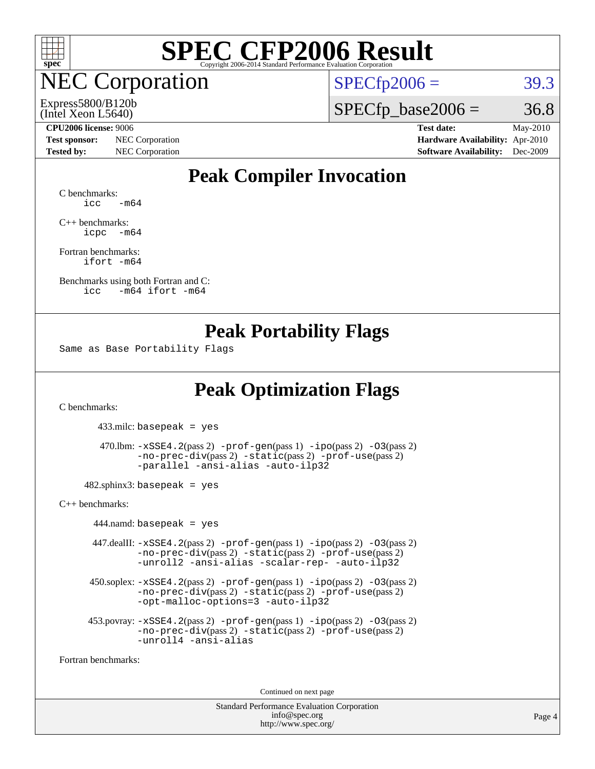

**EC Corporation** 

Express5800/B120b

 $SPECTp2006 = 39.3$ 

(Intel Xeon L5640)

#### **[CPU2006 license:](http://www.spec.org/auto/cpu2006/Docs/result-fields.html#CPU2006license)** 9006 **[Test date:](http://www.spec.org/auto/cpu2006/Docs/result-fields.html#Testdate)** May-2010

**[Test sponsor:](http://www.spec.org/auto/cpu2006/Docs/result-fields.html#Testsponsor)** NEC Corporation **[Hardware Availability:](http://www.spec.org/auto/cpu2006/Docs/result-fields.html#HardwareAvailability)** Apr-2010

 $SPECTp\_base2006 = 36.8$ 

**[Tested by:](http://www.spec.org/auto/cpu2006/Docs/result-fields.html#Testedby)** NEC Corporation **[Software Availability:](http://www.spec.org/auto/cpu2006/Docs/result-fields.html#SoftwareAvailability)** Dec-2009

### **[Peak Compiler Invocation](http://www.spec.org/auto/cpu2006/Docs/result-fields.html#PeakCompilerInvocation)**

[C benchmarks](http://www.spec.org/auto/cpu2006/Docs/result-fields.html#Cbenchmarks):  $\text{icc}$   $-\text{m64}$ 

[C++ benchmarks:](http://www.spec.org/auto/cpu2006/Docs/result-fields.html#CXXbenchmarks) [icpc -m64](http://www.spec.org/cpu2006/results/res2010q3/cpu2006-20100704-12166.flags.html#user_CXXpeak_intel_icpc_64bit_bedb90c1146cab66620883ef4f41a67e)

[Fortran benchmarks](http://www.spec.org/auto/cpu2006/Docs/result-fields.html#Fortranbenchmarks): [ifort -m64](http://www.spec.org/cpu2006/results/res2010q3/cpu2006-20100704-12166.flags.html#user_FCpeak_intel_ifort_64bit_ee9d0fb25645d0210d97eb0527dcc06e)

[Benchmarks using both Fortran and C](http://www.spec.org/auto/cpu2006/Docs/result-fields.html#BenchmarksusingbothFortranandC): [icc -m64](http://www.spec.org/cpu2006/results/res2010q3/cpu2006-20100704-12166.flags.html#user_CC_FCpeak_intel_icc_64bit_0b7121f5ab7cfabee23d88897260401c) [ifort -m64](http://www.spec.org/cpu2006/results/res2010q3/cpu2006-20100704-12166.flags.html#user_CC_FCpeak_intel_ifort_64bit_ee9d0fb25645d0210d97eb0527dcc06e)

#### **[Peak Portability Flags](http://www.spec.org/auto/cpu2006/Docs/result-fields.html#PeakPortabilityFlags)**

Same as Base Portability Flags

### **[Peak Optimization Flags](http://www.spec.org/auto/cpu2006/Docs/result-fields.html#PeakOptimizationFlags)**

[C benchmarks](http://www.spec.org/auto/cpu2006/Docs/result-fields.html#Cbenchmarks):

433.milc: basepeak = yes

```
 470.lbm: -xSSE4.2(pass 2) -prof-gen(pass 1) -ipo(pass 2) -O3(pass 2)
-no-prec-div(pass 2) -static(pass 2) -prof-use(pass 2)
-parallel -ansi-alias -auto-ilp32
```
 $482$ .sphinx3: basepeak = yes

[C++ benchmarks:](http://www.spec.org/auto/cpu2006/Docs/result-fields.html#CXXbenchmarks)

 $444$ .namd: basepeak = yes 447.dealII: [-xSSE4.2](http://www.spec.org/cpu2006/results/res2010q3/cpu2006-20100704-12166.flags.html#user_peakPASS2_CXXFLAGSPASS2_LDFLAGS447_dealII_f-xSSE42_f91528193cf0b216347adb8b939d4107)(pass 2) [-prof-gen](http://www.spec.org/cpu2006/results/res2010q3/cpu2006-20100704-12166.flags.html#user_peakPASS1_CXXFLAGSPASS1_LDFLAGS447_dealII_prof_gen_e43856698f6ca7b7e442dfd80e94a8fc)(pass 1) [-ipo](http://www.spec.org/cpu2006/results/res2010q3/cpu2006-20100704-12166.flags.html#user_peakPASS2_CXXFLAGSPASS2_LDFLAGS447_dealII_f-ipo)(pass 2) [-O3](http://www.spec.org/cpu2006/results/res2010q3/cpu2006-20100704-12166.flags.html#user_peakPASS2_CXXFLAGSPASS2_LDFLAGS447_dealII_f-O3)(pass 2) [-no-prec-div](http://www.spec.org/cpu2006/results/res2010q3/cpu2006-20100704-12166.flags.html#user_peakPASS2_CXXFLAGSPASS2_LDFLAGS447_dealII_f-no-prec-div)(pass 2) [-static](http://www.spec.org/cpu2006/results/res2010q3/cpu2006-20100704-12166.flags.html#user_peakPASS2_CXXFLAGSPASS2_LDFLAGS447_dealII_f-static)(pass 2) [-prof-use](http://www.spec.org/cpu2006/results/res2010q3/cpu2006-20100704-12166.flags.html#user_peakPASS2_CXXFLAGSPASS2_LDFLAGS447_dealII_prof_use_bccf7792157ff70d64e32fe3e1250b55)(pass 2) [-unroll2](http://www.spec.org/cpu2006/results/res2010q3/cpu2006-20100704-12166.flags.html#user_peakOPTIMIZE447_dealII_f-unroll_784dae83bebfb236979b41d2422d7ec2) [-ansi-alias](http://www.spec.org/cpu2006/results/res2010q3/cpu2006-20100704-12166.flags.html#user_peakOPTIMIZE447_dealII_f-ansi-alias) [-scalar-rep-](http://www.spec.org/cpu2006/results/res2010q3/cpu2006-20100704-12166.flags.html#user_peakOPTIMIZE447_dealII_f-disablescalarrep_abbcad04450fb118e4809c81d83c8a1d) [-auto-ilp32](http://www.spec.org/cpu2006/results/res2010q3/cpu2006-20100704-12166.flags.html#user_peakCXXOPTIMIZE447_dealII_f-auto-ilp32) 450.soplex: [-xSSE4.2](http://www.spec.org/cpu2006/results/res2010q3/cpu2006-20100704-12166.flags.html#user_peakPASS2_CXXFLAGSPASS2_LDFLAGS450_soplex_f-xSSE42_f91528193cf0b216347adb8b939d4107)(pass 2) [-prof-gen](http://www.spec.org/cpu2006/results/res2010q3/cpu2006-20100704-12166.flags.html#user_peakPASS1_CXXFLAGSPASS1_LDFLAGS450_soplex_prof_gen_e43856698f6ca7b7e442dfd80e94a8fc)(pass 1) [-ipo](http://www.spec.org/cpu2006/results/res2010q3/cpu2006-20100704-12166.flags.html#user_peakPASS2_CXXFLAGSPASS2_LDFLAGS450_soplex_f-ipo)(pass 2) [-O3](http://www.spec.org/cpu2006/results/res2010q3/cpu2006-20100704-12166.flags.html#user_peakPASS2_CXXFLAGSPASS2_LDFLAGS450_soplex_f-O3)(pass 2) [-no-prec-div](http://www.spec.org/cpu2006/results/res2010q3/cpu2006-20100704-12166.flags.html#user_peakPASS2_CXXFLAGSPASS2_LDFLAGS450_soplex_f-no-prec-div)(pass 2) [-static](http://www.spec.org/cpu2006/results/res2010q3/cpu2006-20100704-12166.flags.html#user_peakPASS2_CXXFLAGSPASS2_LDFLAGS450_soplex_f-static)(pass 2) [-prof-use](http://www.spec.org/cpu2006/results/res2010q3/cpu2006-20100704-12166.flags.html#user_peakPASS2_CXXFLAGSPASS2_LDFLAGS450_soplex_prof_use_bccf7792157ff70d64e32fe3e1250b55)(pass 2) [-opt-malloc-options=3](http://www.spec.org/cpu2006/results/res2010q3/cpu2006-20100704-12166.flags.html#user_peakOPTIMIZE450_soplex_f-opt-malloc-options_13ab9b803cf986b4ee62f0a5998c2238) [-auto-ilp32](http://www.spec.org/cpu2006/results/res2010q3/cpu2006-20100704-12166.flags.html#user_peakCXXOPTIMIZE450_soplex_f-auto-ilp32) 453.povray: [-xSSE4.2](http://www.spec.org/cpu2006/results/res2010q3/cpu2006-20100704-12166.flags.html#user_peakPASS2_CXXFLAGSPASS2_LDFLAGS453_povray_f-xSSE42_f91528193cf0b216347adb8b939d4107)(pass 2) [-prof-gen](http://www.spec.org/cpu2006/results/res2010q3/cpu2006-20100704-12166.flags.html#user_peakPASS1_CXXFLAGSPASS1_LDFLAGS453_povray_prof_gen_e43856698f6ca7b7e442dfd80e94a8fc)(pass 1) [-ipo](http://www.spec.org/cpu2006/results/res2010q3/cpu2006-20100704-12166.flags.html#user_peakPASS2_CXXFLAGSPASS2_LDFLAGS453_povray_f-ipo)(pass 2) [-O3](http://www.spec.org/cpu2006/results/res2010q3/cpu2006-20100704-12166.flags.html#user_peakPASS2_CXXFLAGSPASS2_LDFLAGS453_povray_f-O3)(pass 2) [-no-prec-div](http://www.spec.org/cpu2006/results/res2010q3/cpu2006-20100704-12166.flags.html#user_peakPASS2_CXXFLAGSPASS2_LDFLAGS453_povray_f-no-prec-div)(pass 2) [-static](http://www.spec.org/cpu2006/results/res2010q3/cpu2006-20100704-12166.flags.html#user_peakPASS2_CXXFLAGSPASS2_LDFLAGS453_povray_f-static)(pass 2) [-prof-use](http://www.spec.org/cpu2006/results/res2010q3/cpu2006-20100704-12166.flags.html#user_peakPASS2_CXXFLAGSPASS2_LDFLAGS453_povray_prof_use_bccf7792157ff70d64e32fe3e1250b55)(pass 2) [-unroll4](http://www.spec.org/cpu2006/results/res2010q3/cpu2006-20100704-12166.flags.html#user_peakCXXOPTIMIZE453_povray_f-unroll_4e5e4ed65b7fd20bdcd365bec371b81f) [-ansi-alias](http://www.spec.org/cpu2006/results/res2010q3/cpu2006-20100704-12166.flags.html#user_peakCXXOPTIMIZE453_povray_f-ansi-alias)

[Fortran benchmarks](http://www.spec.org/auto/cpu2006/Docs/result-fields.html#Fortranbenchmarks):

Continued on next page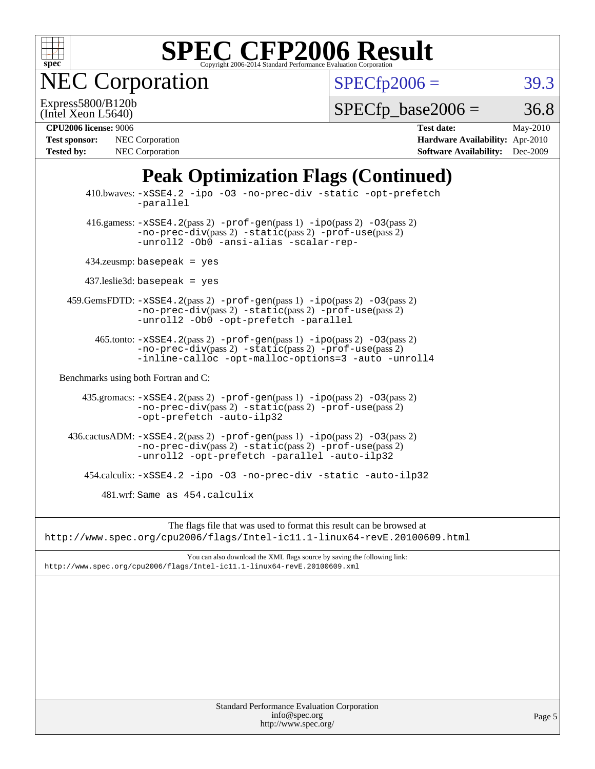

NEC Corporation

 $SPECfp2006 = 39.3$  $SPECfp2006 = 39.3$ 

(Intel Xeon L5640) Express5800/B120b  $SPECTp\_base2006 = 36.8$ 

| <b>Test sponsor:</b> | NEC Corporation        |
|----------------------|------------------------|
| <b>Tested by:</b>    | <b>NEC</b> Corporation |

**[CPU2006 license:](http://www.spec.org/auto/cpu2006/Docs/result-fields.html#CPU2006license)** 9006 **[Test date:](http://www.spec.org/auto/cpu2006/Docs/result-fields.html#Testdate)** May-2010 **[Hardware Availability:](http://www.spec.org/auto/cpu2006/Docs/result-fields.html#HardwareAvailability)** Apr-2010 **[Software Availability:](http://www.spec.org/auto/cpu2006/Docs/result-fields.html#SoftwareAvailability)** Dec-2009

## **[Peak Optimization Flags \(Continued\)](http://www.spec.org/auto/cpu2006/Docs/result-fields.html#PeakOptimizationFlags)**

| Standard Performance Evaluation Corporation<br>info@spec.org<br>http://www.spec.org/                                                                                                      | Page 5 |
|-------------------------------------------------------------------------------------------------------------------------------------------------------------------------------------------|--------|
|                                                                                                                                                                                           |        |
|                                                                                                                                                                                           |        |
|                                                                                                                                                                                           |        |
|                                                                                                                                                                                           |        |
|                                                                                                                                                                                           |        |
| You can also download the XML flags source by saving the following link:<br>http://www.spec.org/cpu2006/flags/Intel-icll.1-linux64-revE.20100609.xml                                      |        |
| The flags file that was used to format this result can be browsed at<br>http://www.spec.org/cpu2006/flags/Intel-ic11.1-linux64-revE.20100609.html                                         |        |
|                                                                                                                                                                                           |        |
| 481.wrf: Same as 454.calculix                                                                                                                                                             |        |
| 454.calculix: -xSSE4.2 -ipo -03 -no-prec-div -static -auto-ilp32                                                                                                                          |        |
| $436.cactusADM: -xSSE4.2(pass 2) -prof-gen(pass 1) -ipo(pass 2) -03(pass 2)$<br>-no-prec-div(pass 2) -static(pass 2) -prof-use(pass 2)<br>-unroll2 -opt-prefetch -parallel -auto-ilp32    |        |
| $-no-prec-div(pass 2) -static(pass 2) -prof-use(pass 2)$<br>-opt-prefetch -auto-ilp32                                                                                                     |        |
| 435.gromacs: -xSSE4.2(pass 2) -prof-gen(pass 1) -ipo(pass 2) -03(pass 2)                                                                                                                  |        |
| Benchmarks using both Fortran and C:                                                                                                                                                      |        |
| 465.tonto: -xSSE4.2(pass 2) -prof-gen(pass 1) -ipo(pass 2) -03(pass 2)<br>$-no-prec-div(pass 2) -static(pass 2) -prof-use(pass 2)$<br>-inline-calloc -opt-malloc-options=3 -auto -unroll4 |        |
| 459.GemsFDTD: -xSSE4.2(pass 2) -prof-gen(pass 1) -ipo(pass 2) -03(pass 2)<br>$-no-prec-div(pass 2) -static(pass 2) -prof-use(pass 2)$<br>-unroll2 -Ob0 -opt-prefetch -parallel            |        |
| $437$ .leslie3d: basepeak = yes                                                                                                                                                           |        |
| $434$ .zeusmp: basepeak = yes                                                                                                                                                             |        |
| 416.gamess: $-xSSE4$ . 2(pass 2) $-prof-gen(pass 1) -ipo(pass 2) -O3(pass 2)$<br>-no-prec-div(pass 2) -static(pass 2) -prof-use(pass 2)<br>-unroll2 -Ob0 -ansi-alias -scalar-rep-         |        |
| 410.bwaves: -xSSE4.2 -ipo -03 -no-prec-div -static -opt-prefetch<br>-parallel                                                                                                             |        |